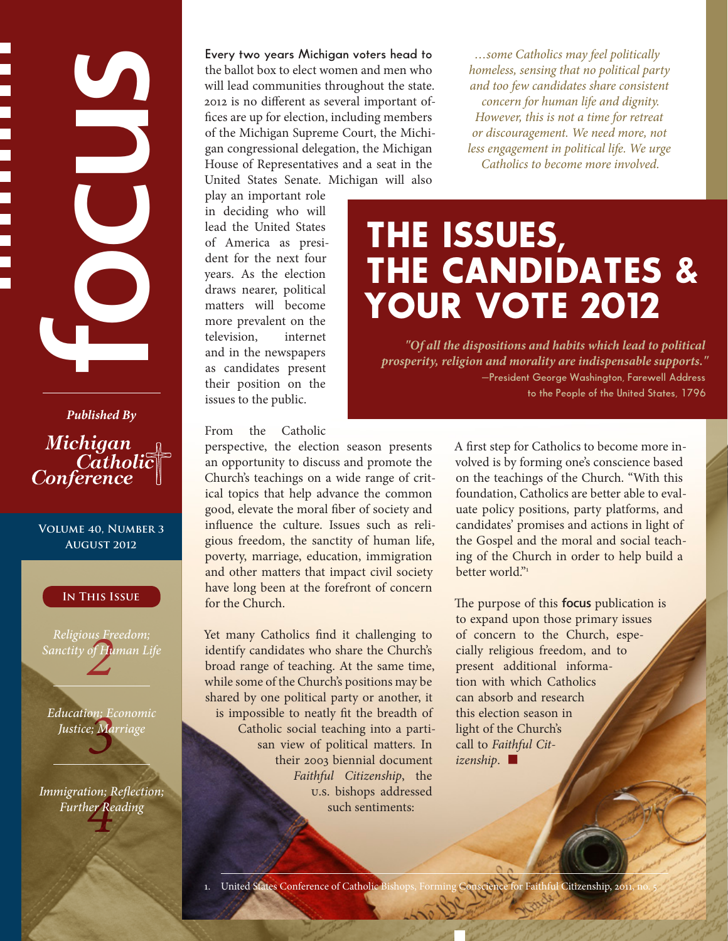**Published By**<br> **Published By**<br> **Published By**<br> **Published Street Wearth and Street Wearth and Street As several important of-<br>
fries are up for election, including members of the Michigan Supernor Court, the Michigan<br>
<b>Pu** 

Michigan Catholic<br>Conference

**Volume 40, Number 3 August 2012**

#### **In This Issue**

rus Fr<br>of Ht<br>**22** *Religious Freedom; Sanctity of Human Life*

*3 Education; Economic Justice; Marriage*

*n*<br>1er Re *Immigration; Reflection; Further Reading*

the ballot box to elect women and men who will lead communities throughout the state. 2012 is no different as several important offices are up for election, including members of the Michigan Supreme Court, the Michigan congressional delegation, the Michigan House of Representatives and a seat in the United States Senate. Michigan will also

play an important role in deciding who will lead the United States of America as president for the next four years. As the election draws nearer, political matters will become more prevalent on the television, internet and in the newspapers as candidates present their position on the issues to the public.

From the Catholic

perspective, the election season presents an opportunity to discuss and promote the Church's teachings on a wide range of critical topics that help advance the common good, elevate the moral fiber of society and influence the culture. Issues such as religious freedom, the sanctity of human life, poverty, marriage, education, immigration and other matters that impact civil society have long been at the forefront of concern for the Church.

Yet many Catholics find it challenging to identify candidates who share the Church's broad range of teaching. At the same time, while some of the Church's positions may be shared by one political party or another, it is impossible to neatly fit the breadth of Catholic social teaching into a partisan view of political matters. In their 2003 biennial document *Faithful Citizenship*, the U.S. bishops addressed such sentiments:

*…some Catholics may feel politically homeless, sensing that no political party and too few candidates share consistent concern for human life and dignity. However, this is not a time for retreat or discouragement. We need more, not less engagement in political life. We urge Catholics to become more involved.*

# THE ISSUES, THE CANDIDATES & YOUR VOTE 2012

*"Of all the dispositions and habits which lead to political prosperity, religion and morality are indispensable supports."* **—President George Washington, Farewell Address to the People of the United States, 1796**

> A first step for Catholics to become more involved is by forming one's conscience based on the teachings of the Church. "With this foundation, Catholics are better able to evaluate policy positions, party platforms, and candidates' promises and actions in light of the Gospel and the moral and social teaching of the Church in order to help build a better world $v_1$

The purpose of this **focus** publication is to expand upon those primary issues of concern to the Church, especially religious freedom, and to present additional information with which Catholics can absorb and research this election season in light of the Church's call to *Faithful Citizenship*. ■

1. United States Conference of Catholic Bishops, Forming Conscience for Faithful Citizenship, 201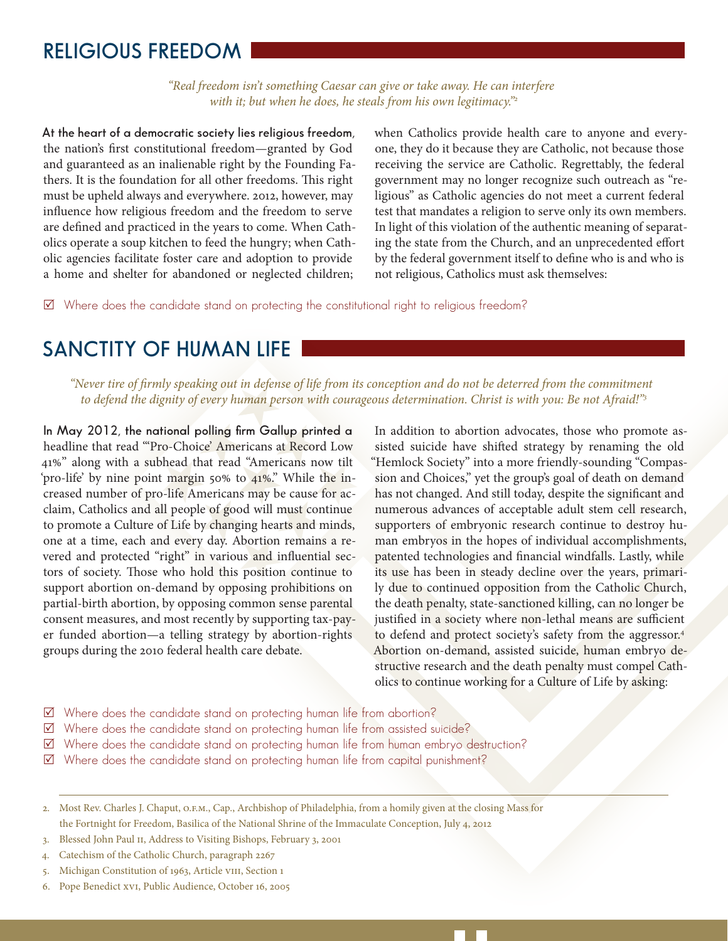### **RELIGIOUS FREEDOM**

*"Real freedom isn't something Caesar can give or take away. He can interfere with it; but when he does, he steals from his own legitimacy."2*

**At the heart of a democratic society lies religious freedom,**  the nation's first constitutional freedom—granted by God and guaranteed as an inalienable right by the Founding Fathers. It is the foundation for all other freedoms. This right must be upheld always and everywhere. 2012, however, may influence how religious freedom and the freedom to serve are defined and practiced in the years to come. When Catholics operate a soup kitchen to feed the hungry; when Catholic agencies facilitate foster care and adoption to provide a home and shelter for abandoned or neglected children;

when Catholics provide health care to anyone and everyone, they do it because they are Catholic, not because those receiving the service are Catholic. Regrettably, the federal government may no longer recognize such outreach as "religious" as Catholic agencies do not meet a current federal test that mandates a religion to serve only its own members. In light of this violation of the authentic meaning of separating the state from the Church, and an unprecedented effort by the federal government itself to define who is and who is not religious, Catholics must ask themselves:

 $\boxtimes$  Where does the candidate stand on protecting the constitutional right to religious freedom?

# **SANCTITY OF HUMAN LIFE**

*"Never tire of firmly speaking out in defense of life from its conception and do not be deterred from the commitment to defend the dignity of every human person with courageous determination. Christ is with you: Be not Afraid!"3*

**In May 2012, the national polling firm Gallup printed a**  headline that read "'Pro-Choice' Americans at Record Low 41%" along with a subhead that read "Americans now tilt 'pro-life' by nine point margin 50% to 41%." While the increased number of pro-life Americans may be cause for acclaim, Catholics and all people of good will must continue to promote a Culture of Life by changing hearts and minds, one at a time, each and every day. Abortion remains a revered and protected "right" in various and influential sectors of society. Those who hold this position continue to support abortion on-demand by opposing prohibitions on partial-birth abortion, by opposing common sense parental consent measures, and most recently by supporting tax-payer funded abortion—a telling strategy by abortion-rights groups during the 2010 federal health care debate.

In addition to abortion advocates, those who promote assisted suicide have shifted strategy by renaming the old "Hemlock Society" into a more friendly-sounding "Compassion and Choices," yet the group's goal of death on demand has not changed. And still today, despite the significant and numerous advances of acceptable adult stem cell research, supporters of embryonic research continue to destroy human embryos in the hopes of individual accomplishments, patented technologies and financial windfalls. Lastly, while its use has been in steady decline over the years, primarily due to continued opposition from the Catholic Church, the death penalty, state-sanctioned killing, can no longer be justified in a society where non-lethal means are sufficient to defend and protect society's safety from the aggressor.4 Abortion on-demand, assisted suicide, human embryo destructive research and the death penalty must compel Catholics to continue working for a Culture of Life by asking:

- $\boxtimes$  Where does the candidate stand on protecting human life from abortion?
- 5 Where does the candidate stand on protecting human life from assisted suicide?
- 5 Where does the candidate stand on protecting human life from human embryo destruction?
- $\boxtimes$  Where does the candidate stand on protecting human life from capital punishment?
- 2. Most Rev. Charles J. Chaput, O.F.M., Cap., Archbishop of Philadelphia, from a homily given at the closing Mass for the Fortnight for Freedom, Basilica of the National Shrine of the Immaculate Conception, July 4, 2012
- 3. Blessed John Paul II, Address to Visiting Bishops, February 3, 2001
- 4. Catechism of the Catholic Church, paragraph 2267
- 5. Michigan Constitution of 1963, Article VIII, Section 1
- 6. Pope Benedict XVI, Public Audience, October 16, 2005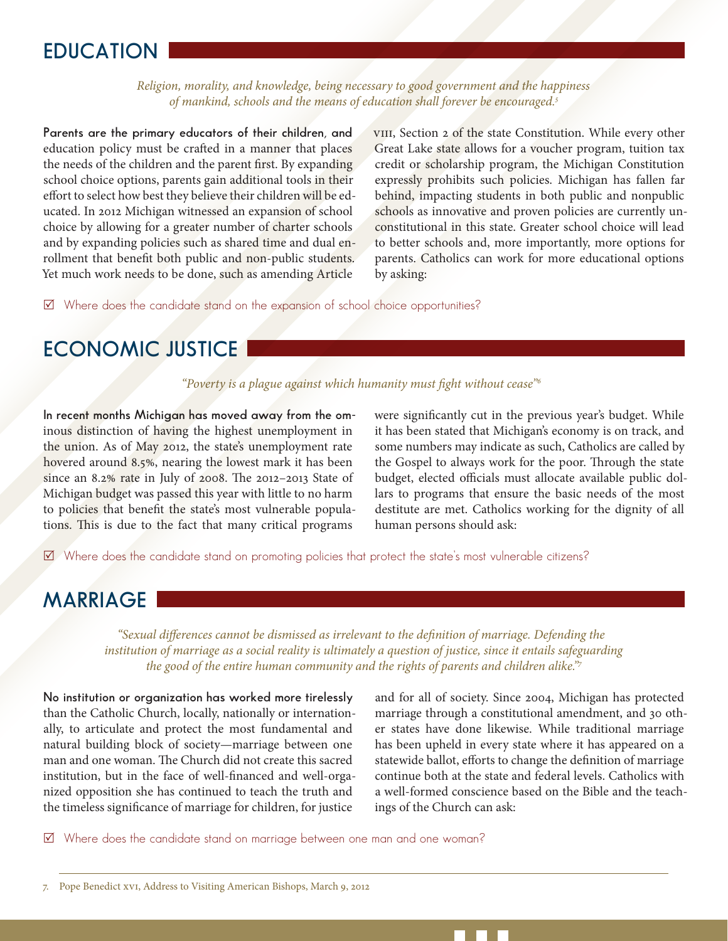# **EDUCATION**

*Religion, morality, and knowledge, being necessary to good government and the happiness of mankind, schools and the means of education shall forever be encouraged.5*

**Parents are the primary educators of their children, and**  education policy must be crafted in a manner that places the needs of the children and the parent first. By expanding school choice options, parents gain additional tools in their effort to select how best they believe their children will be educated. In 2012 Michigan witnessed an expansion of school choice by allowing for a greater number of charter schools and by expanding policies such as shared time and dual enrollment that benefit both public and non-public students. Yet much work needs to be done, such as amending Article

VIII, Section 2 of the state Constitution. While every other Great Lake state allows for a voucher program, tuition tax credit or scholarship program, the Michigan Constitution expressly prohibits such policies. Michigan has fallen far behind, impacting students in both public and nonpublic schools as innovative and proven policies are currently unconstitutional in this state. Greater school choice will lead to better schools and, more importantly, more options for parents. Catholics can work for more educational options by asking:

5 Where does the candidate stand on the expansion of school choice opportunities?

# **ECONOMIC JUSTICE**

*"Poverty is a plague against which humanity must fight without cease"6*

**In recent months Michigan has moved away from the om**inous distinction of having the highest unemployment in the union. As of May 2012, the state's unemployment rate hovered around 8.5%, nearing the lowest mark it has been since an 8.2% rate in July of 2008. The 2012–2013 State of Michigan budget was passed this year with little to no harm to policies that benefit the state's most vulnerable populations. This is due to the fact that many critical programs

were significantly cut in the previous year's budget. While it has been stated that Michigan's economy is on track, and some numbers may indicate as such, Catholics are called by the Gospel to always work for the poor. Through the state budget, elected officials must allocate available public dollars to programs that ensure the basic needs of the most destitute are met. Catholics working for the dignity of all human persons should ask:

 $\boxtimes$  Where does the candidate stand on promoting policies that protect the state's most vulnerable citizens?

# **MARRIAGE**

*"Sexual differences cannot be dismissed as irrelevant to the definition of marriage. Defending the institution of marriage as a social reality is ultimately a question of justice, since it entails safeguarding the good of the entire human community and the rights of parents and children alike."7*

**No institution or organization has worked more tirelessly**  than the Catholic Church, locally, nationally or internationally, to articulate and protect the most fundamental and natural building block of society—marriage between one man and one woman. The Church did not create this sacred institution, but in the face of well-financed and well-organized opposition she has continued to teach the truth and the timeless significance of marriage for children, for justice

and for all of society. Since 2004, Michigan has protected marriage through a constitutional amendment, and 30 other states have done likewise. While traditional marriage has been upheld in every state where it has appeared on a statewide ballot, efforts to change the definition of marriage continue both at the state and federal levels. Catholics with a well-formed conscience based on the Bible and the teachings of the Church can ask:

5 Where does the candidate stand on marriage between one man and one woman?